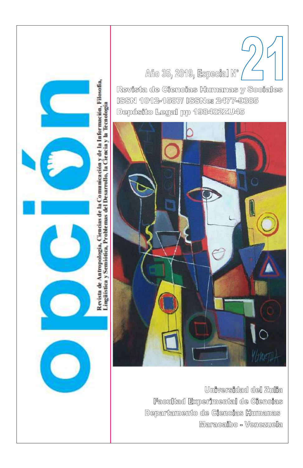

# Año 35, 2019, Especial Nº

Revista de Ciencias Humanas y Sociales ISSN 1012-1587/ ISSNe: 2477-9385 Depósito Legal pp 198402ZU45



Universidad del Zulia Facultad Experimental de Ciencias Departamento de Ciencias Humanas Maracaibo - Venezuela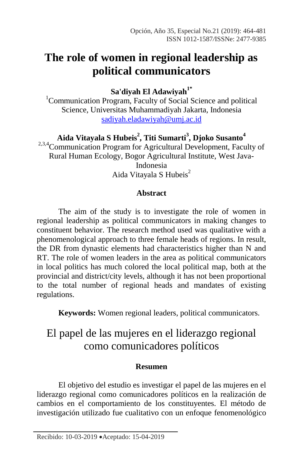# **The role of women in regional leadership as political communicators**

**Sa'diyah El Adawiyah1\***

<sup>1</sup>Communication Program, Faculty of Social Science and political Science, Universitas Muhammadiyah Jakarta, Indonesia [sadiyah.eladawiyah@umj.ac.id](mailto:sadiyah.eladawiyah@umj.ac.id)

**Aida Vitayala S Hubeis<sup>2</sup> , Titi Sumarti<sup>3</sup> , Djoko Susanto<sup>4</sup>**

<sup>2,3,4</sup>Communication Program for Agricultural Development, Faculty of Rural Human Ecology, Bogor Agricultural Institute, West Java-Indonesia Aida Vitayala S Hubeis<sup>2</sup>

## **Abstract**

The aim of the study is to investigate the role of women in regional leadership as political communicators in making changes to constituent behavior. The research method used was qualitative with a phenomenological approach to three female heads of regions. In result, the DR from dynastic elements had characteristics higher than N and RT. The role of women leaders in the area as political communicators in local politics has much colored the local political map, both at the provincial and district/city levels, although it has not been proportional to the total number of regional heads and mandates of existing regulations.

**Keywords:** Women regional leaders, political communicators.

## El papel de las mujeres en el liderazgo regional como comunicadores políticos

## **Resumen**

El objetivo del estudio es investigar el papel de las mujeres en el liderazgo regional como comunicadores políticos en la realización de cambios en el comportamiento de los constituyentes. El método de investigación utilizado fue cualitativo con un enfoque fenomenológico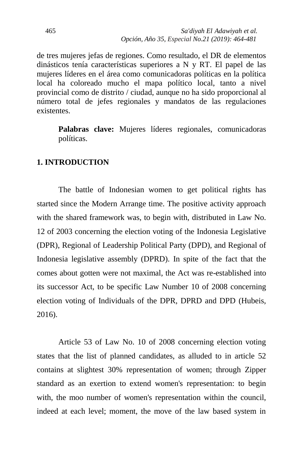de tres mujeres jefas de regiones. Como resultado, el DR de elementos dinásticos tenía características superiores a N y RT. El papel de las mujeres líderes en el área como comunicadoras políticas en la política local ha coloreado mucho el mapa político local, tanto a nivel provincial como de distrito / ciudad, aunque no ha sido proporcional al número total de jefes regionales y mandatos de las regulaciones existentes.

**Palabras clave:** Mujeres líderes regionales, comunicadoras políticas.

#### **1. INTRODUCTION**

The battle of Indonesian women to get political rights has started since the Modern Arrange time. The positive activity approach with the shared framework was, to begin with, distributed in Law No. 12 of 2003 concerning the election voting of the Indonesia Legislative (DPR), Regional of Leadership Political Party (DPD), and Regional of Indonesia legislative assembly (DPRD). In spite of the fact that the comes about gotten were not maximal, the Act was re-established into its successor Act, to be specific Law Number 10 of 2008 concerning election voting of Individuals of the DPR, DPRD and DPD (Hubeis, 2016).

Article 53 of Law No. 10 of 2008 concerning election voting states that the list of planned candidates, as alluded to in article 52 contains at slightest 30% representation of women; through Zipper standard as an exertion to extend women's representation: to begin with, the moo number of women's representation within the council, indeed at each level; moment, the move of the law based system in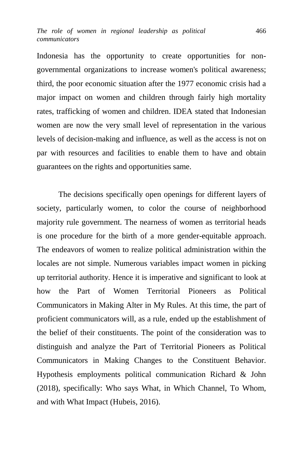Indonesia has the opportunity to create opportunities for nongovernmental organizations to increase women's political awareness; third, the poor economic situation after the 1977 economic crisis had a major impact on women and children through fairly high mortality rates, trafficking of women and children. IDEA stated that Indonesian women are now the very small level of representation in the various levels of decision-making and influence, as well as the access is not on par with resources and facilities to enable them to have and obtain guarantees on the rights and opportunities same.

The decisions specifically open openings for different layers of society, particularly women, to color the course of neighborhood majority rule government. The nearness of women as territorial heads is one procedure for the birth of a more gender-equitable approach. The endeavors of women to realize political administration within the locales are not simple. Numerous variables impact women in picking up territorial authority. Hence it is imperative and significant to look at how the Part of Women Territorial Pioneers as Political Communicators in Making Alter in My Rules. At this time, the part of proficient communicators will, as a rule, ended up the establishment of the belief of their constituents. The point of the consideration was to distinguish and analyze the Part of Territorial Pioneers as Political Communicators in Making Changes to the Constituent Behavior. Hypothesis employments political communication Richard & John (2018), specifically: Who says What, in Which Channel, To Whom, and with What Impact (Hubeis, 2016).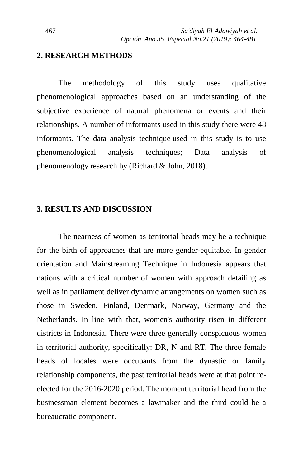#### **2. RESEARCH METHODS**

The methodology of this study uses qualitative phenomenological approaches based on an understanding of the subjective experience of natural phenomena or events and their relationships. A number of informants used in this study there were 48 informants. The data analysis technique used in this study is to use phenomenological analysis techniques; Data analysis of phenomenology research by (Richard & John, 2018).

### **3. RESULTS AND DISCUSSION**

The nearness of women as territorial heads may be a technique for the birth of approaches that are more gender-equitable. In gender orientation and Mainstreaming Technique in Indonesia appears that nations with a critical number of women with approach detailing as well as in parliament deliver dynamic arrangements on women such as those in Sweden, Finland, Denmark, Norway, Germany and the Netherlands. In line with that, women's authority risen in different districts in Indonesia. There were three generally conspicuous women in territorial authority, specifically: DR, N and RT. The three female heads of locales were occupants from the dynastic or family relationship components, the past territorial heads were at that point reelected for the 2016-2020 period. The moment territorial head from the businessman element becomes a lawmaker and the third could be a bureaucratic component.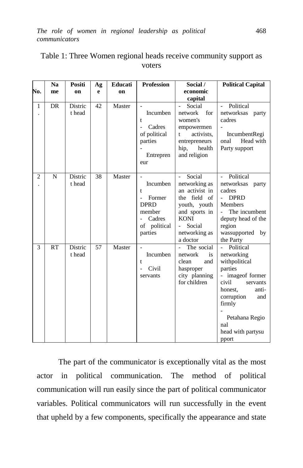| No.            | N <sub>a</sub><br>me | Positi<br>on      | Ag<br>e | Educati<br>on | <b>Profession</b>                                                                                       | Social /<br>economic                                                                                                                                                         | <b>Political Capital</b>                                                                                                                                                                                                  |
|----------------|----------------------|-------------------|---------|---------------|---------------------------------------------------------------------------------------------------------|------------------------------------------------------------------------------------------------------------------------------------------------------------------------------|---------------------------------------------------------------------------------------------------------------------------------------------------------------------------------------------------------------------------|
|                |                      |                   |         |               |                                                                                                         | capital                                                                                                                                                                      |                                                                                                                                                                                                                           |
| $\mathbf{1}$   | <b>DR</b>            | Distric<br>t head | 42      | Master        | Incumben<br>t<br>Cadres<br>of political<br>parties<br>Entrepren<br>eur                                  | Social<br>for<br>network<br>women's<br>empowermen<br>activists.<br>t<br>entrepreneurs<br>hip,<br>health<br>and religion                                                      | Political<br>L.<br>networksas<br>party<br>cadres<br>IncumbentRegi<br>onal<br>Head with<br>Party support                                                                                                                   |
| $\overline{2}$ | N                    | Distric<br>t head | 38      | Master        | Incumben<br>t<br>Former<br>$\overline{a}$<br><b>DPRD</b><br>member<br>Cadres<br>of political<br>parties | Social<br>$\overline{a}$<br>networking as<br>an activist in<br>the field of<br>youth, youth<br>and sports in<br><b>KONI</b><br>Social<br>$\sim$<br>networking as<br>a doctor | Political<br>networksas party<br>cadres<br><b>DPRD</b><br>L.<br>Members<br>The incumbent<br>deputy head of the<br>region<br>wassupported by<br>the Party                                                                  |
| 3              | <b>RT</b>            | Distric<br>t head | 57      | Master        | Incumben<br>t<br>Civil<br>$\overline{a}$<br>servants                                                    | The social<br>network<br>is<br>clean<br>and<br>hasproper<br>city planning<br>for children                                                                                    | Political<br>$\overline{a}$<br>networking<br>withpolitical<br>parties<br>- image of former<br>civil<br>servants<br>honest,<br>anti-<br>corruption<br>and<br>firmly<br>Petahana Regio<br>nal<br>head with partysu<br>pport |

## Table 1: Three Women regional heads receive community support as voters

The part of the communicator is exceptionally vital as the most actor in political communication. The method of political communication will run easily since the part of political communicator variables. Political communicators will run successfully in the event that upheld by a few components, specifically the appearance and state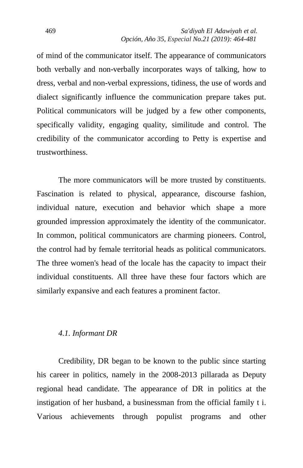of mind of the communicator itself. The appearance of communicators both verbally and non-verbally incorporates ways of talking, how to dress, verbal and non-verbal expressions, tidiness, the use of words and dialect significantly influence the communication prepare takes put. Political communicators will be judged by a few other components, specifically validity, engaging quality, similitude and control. The credibility of the communicator according to Petty is expertise and trustworthiness.

The more communicators will be more trusted by constituents. Fascination is related to physical, appearance, discourse fashion, individual nature, execution and behavior which shape a more grounded impression approximately the identity of the communicator. In common, political communicators are charming pioneers. Control, the control had by female territorial heads as political communicators. The three women's head of the locale has the capacity to impact their individual constituents. All three have these four factors which are similarly expansive and each features a prominent factor.

## *4.1. Informant DR*

Credibility, DR began to be known to the public since starting his career in politics, namely in the 2008-2013 pillarada as Deputy regional head candidate. The appearance of DR in politics at the instigation of her husband, a businessman from the official family t i. Various achievements through populist programs and other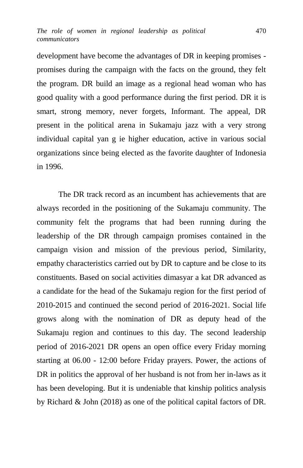development have become the advantages of DR in keeping promises promises during the campaign with the facts on the ground, they felt the program. DR build an image as a regional head woman who has good quality with a good performance during the first period. DR it is smart, strong memory, never forgets, Informant. The appeal, DR present in the political arena in Sukamaju jazz with a very strong individual capital yan g ie higher education, active in various social organizations since being elected as the favorite daughter of Indonesia in 1996.

The DR track record as an incumbent has achievements that are always recorded in the positioning of the Sukamaju community. The community felt the programs that had been running during the leadership of the DR through campaign promises contained in the campaign vision and mission of the previous period, Similarity, empathy characteristics carried out by DR to capture and be close to its constituents. Based on social activities dimasyar a kat DR advanced as a candidate for the head of the Sukamaju region for the first period of 2010-2015 and continued the second period of 2016-2021. Social life grows along with the nomination of DR as deputy head of the Sukamaju region and continues to this day. The second leadership period of 2016-2021 DR opens an open office every Friday morning starting at 06.00 - 12:00 before Friday prayers. Power, the actions of DR in politics the approval of her husband is not from her in-laws as it has been developing. But it is undeniable that kinship politics analysis by Richard & John (2018) as one of the political capital factors of DR.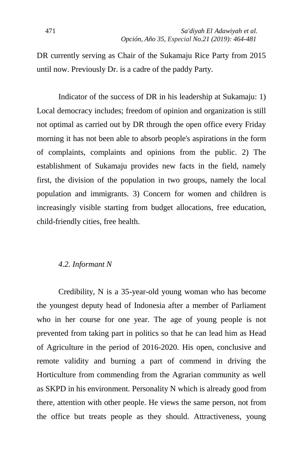DR currently serving as Chair of the Sukamaju Rice Party from 2015 until now. Previously Dr. is a cadre of the paddy Party.

Indicator of the success of DR in his leadership at Sukamaju: 1) Local democracy includes; freedom of opinion and organization is still not optimal as carried out by DR through the open office every Friday morning it has not been able to absorb people's aspirations in the form of complaints, complaints and opinions from the public. 2) The establishment of Sukamaju provides new facts in the field, namely first, the division of the population in two groups, namely the local population and immigrants. 3) Concern for women and children is increasingly visible starting from budget allocations, free education, child-friendly cities, free health.

## *4.2. Informant N*

Credibility, N is a 35-year-old young woman who has become the youngest deputy head of Indonesia after a member of Parliament who in her course for one year. The age of young people is not prevented from taking part in politics so that he can lead him as Head of Agriculture in the period of 2016-2020. His open, conclusive and remote validity and burning a part of commend in driving the Horticulture from commending from the Agrarian community as well as SKPD in his environment. Personality N which is already good from there, attention with other people. He views the same person, not from the office but treats people as they should. Attractiveness, young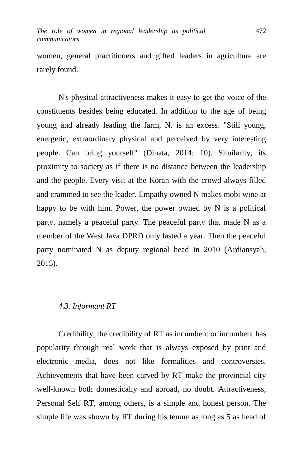women, general practitioners and gifted leaders in agriculture are rarely found.

N's physical attractiveness makes it easy to get the voice of the constituents besides being educated. In addition to the age of being young and already leading the farm, N. is an excess. "Still young, energetic, extraordinary physical and perceived by very interesting people. Can bring yourself" (Dinata, 2014: 10). Similarity, its proximity to society as if there is no distance between the leadership and the people. Every visit at the Koran with the crowd always filled and crammed to see the leader. Empathy owned N makes mobi wine at happy to be with him. Power, the power owned by N is a political party, namely a peaceful party. The peaceful party that made N as a member of the West Java DPRD only lasted a year. Then the peaceful party nominated N as deputy regional head in 2010 (Ardiansyah, 2015).

## *4.3. Informant RT*

Credibility, the credibility of RT as incumbent or incumbent has popularity through real work that is always exposed by print and electronic media, does not like formalities and controversies. Achievements that have been carved by RT make the provincial city well-known both domestically and abroad, no doubt. Attractiveness, Personal Self RT, among others, is a simple and honest person. The simple life was shown by RT during his tenure as long as 5 as head of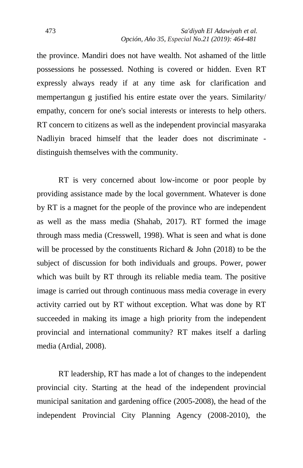the province. Mandiri does not have wealth. Not ashamed of the little possessions he possessed. Nothing is covered or hidden. Even RT expressly always ready if at any time ask for clarification and mempertangun g justified his entire estate over the years. Similarity/ empathy, concern for one's social interests or interests to help others. RT concern to citizens as well as the independent provincial masyaraka Nadliyin braced himself that the leader does not discriminate distinguish themselves with the community.

RT is very concerned about low-income or poor people by providing assistance made by the local government. Whatever is done by RT is a magnet for the people of the province who are independent as well as the mass media (Shahab, 2017). RT formed the image through mass media (Cresswell, 1998). What is seen and what is done will be processed by the constituents Richard & John (2018) to be the subject of discussion for both individuals and groups. Power, power which was built by RT through its reliable media team. The positive image is carried out through continuous mass media coverage in every activity carried out by RT without exception. What was done by RT succeeded in making its image a high priority from the independent provincial and international community? RT makes itself a darling media (Ardial, 2008).

RT leadership, RT has made a lot of changes to the independent provincial city. Starting at the head of the independent provincial municipal sanitation and gardening office (2005-2008), the head of the independent Provincial City Planning Agency (2008-2010), the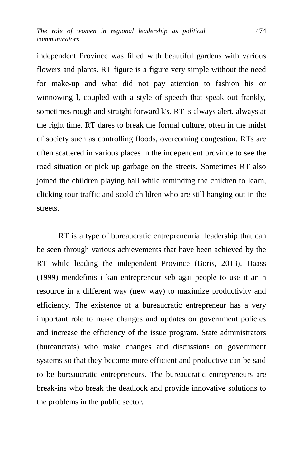independent Province was filled with beautiful gardens with various flowers and plants. RT figure is a figure very simple without the need for make-up and what did not pay attention to fashion his or winnowing l, coupled with a style of speech that speak out frankly, sometimes rough and straight forward k's. RT is always alert, always at the right time. RT dares to break the formal culture, often in the midst of society such as controlling floods, overcoming congestion. RTs are often scattered in various places in the independent province to see the road situation or pick up garbage on the streets. Sometimes RT also joined the children playing ball while reminding the children to learn, clicking tour traffic and scold children who are still hanging out in the streets.

RT is a type of bureaucratic entrepreneurial leadership that can be seen through various achievements that have been achieved by the RT while leading the independent Province (Boris, 2013). Haass (1999) mendefinis i kan entrepreneur seb agai people to use it an n resource in a different way (new way) to maximize productivity and efficiency. The existence of a bureaucratic entrepreneur has a very important role to make changes and updates on government policies and increase the efficiency of the issue program. State administrators (bureaucrats) who make changes and discussions on government systems so that they become more efficient and productive can be said to be bureaucratic entrepreneurs. The bureaucratic entrepreneurs are break-ins who break the deadlock and provide innovative solutions to the problems in the public sector.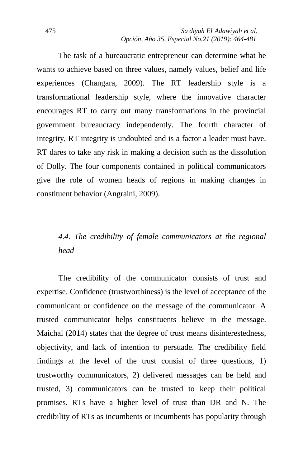The task of a bureaucratic entrepreneur can determine what he wants to achieve based on three values, namely values, belief and life experiences (Changara, 2009). The RT leadership style is a transformational leadership style, where the innovative character encourages RT to carry out many transformations in the provincial government bureaucracy independently. The fourth character of integrity, RT integrity is undoubted and is a factor a leader must have. RT dares to take any risk in making a decision such as the dissolution of Dolly. The four components contained in political communicators give the role of women heads of regions in making changes in constituent behavior (Angraini, 2009).

## *4.4. The credibility of female communicators at the regional head*

The credibility of the communicator consists of trust and expertise. Confidence (trustworthiness) is the level of acceptance of the communicant or confidence on the message of the communicator. A trusted communicator helps constituents believe in the message. Maichal (2014) states that the degree of trust means disinterestedness, objectivity, and lack of intention to persuade. The credibility field findings at the level of the trust consist of three questions, 1) trustworthy communicators, 2) delivered messages can be held and trusted, 3) communicators can be trusted to keep their political promises. RTs have a higher level of trust than DR and N. The credibility of RTs as incumbents or incumbents has popularity through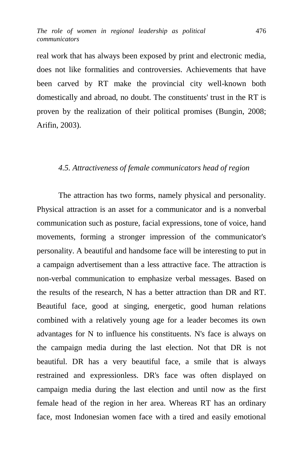real work that has always been exposed by print and electronic media, does not like formalities and controversies. Achievements that have been carved by RT make the provincial city well-known both domestically and abroad, no doubt. The constituents' trust in the RT is proven by the realization of their political promises (Bungin, 2008; Arifin, 2003).

#### *4.5. Attractiveness of female communicators head of region*

The attraction has two forms, namely physical and personality. Physical attraction is an asset for a communicator and is a nonverbal communication such as posture, facial expressions, tone of voice, hand movements, forming a stronger impression of the communicator's personality. A beautiful and handsome face will be interesting to put in a campaign advertisement than a less attractive face. The attraction is non-verbal communication to emphasize verbal messages. Based on the results of the research, N has a better attraction than DR and RT. Beautiful face, good at singing, energetic, good human relations combined with a relatively young age for a leader becomes its own advantages for N to influence his constituents. N's face is always on the campaign media during the last election. Not that DR is not beautiful. DR has a very beautiful face, a smile that is always restrained and expressionless. DR's face was often displayed on campaign media during the last election and until now as the first female head of the region in her area. Whereas RT has an ordinary face, most Indonesian women face with a tired and easily emotional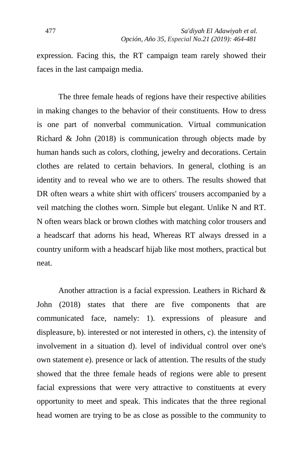expression. Facing this, the RT campaign team rarely showed their faces in the last campaign media.

The three female heads of regions have their respective abilities in making changes to the behavior of their constituents. How to dress is one part of nonverbal communication. Virtual communication Richard & John (2018) is communication through objects made by human hands such as colors, clothing, jewelry and decorations. Certain clothes are related to certain behaviors. In general, clothing is an identity and to reveal who we are to others. The results showed that DR often wears a white shirt with officers' trousers accompanied by a veil matching the clothes worn. Simple but elegant. Unlike N and RT. N often wears black or brown clothes with matching color trousers and a headscarf that adorns his head, Whereas RT always dressed in a country uniform with a headscarf hijab like most mothers, practical but neat.

Another attraction is a facial expression. Leathers in Richard & John (2018) states that there are five components that are communicated face, namely: 1). expressions of pleasure and displeasure, b). interested or not interested in others, c). the intensity of involvement in a situation d). level of individual control over one's own statement e). presence or lack of attention. The results of the study showed that the three female heads of regions were able to present facial expressions that were very attractive to constituents at every opportunity to meet and speak. This indicates that the three regional head women are trying to be as close as possible to the community to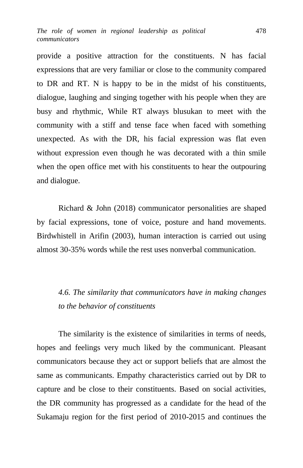provide a positive attraction for the constituents. N has facial expressions that are very familiar or close to the community compared to DR and RT. N is happy to be in the midst of his constituents, dialogue, laughing and singing together with his people when they are busy and rhythmic, While RT always blusukan to meet with the community with a stiff and tense face when faced with something unexpected. As with the DR, his facial expression was flat even without expression even though he was decorated with a thin smile when the open office met with his constituents to hear the outpouring and dialogue.

Richard & John (2018) communicator personalities are shaped by facial expressions, tone of voice, posture and hand movements. Birdwhistell in Arifin (2003), human interaction is carried out using almost 30-35% words while the rest uses nonverbal communication.

*4.6. The similarity that communicators have in making changes to the behavior of constituents*

The similarity is the existence of similarities in terms of needs, hopes and feelings very much liked by the communicant. Pleasant communicators because they act or support beliefs that are almost the same as communicants. Empathy characteristics carried out by DR to capture and be close to their constituents. Based on social activities, the DR community has progressed as a candidate for the head of the Sukamaju region for the first period of 2010-2015 and continues the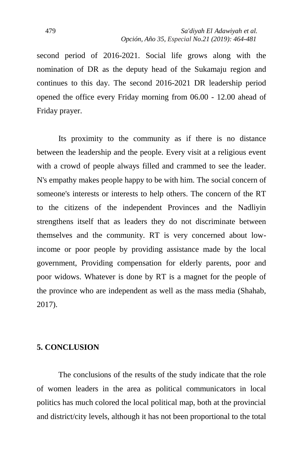second period of 2016-2021. Social life grows along with the nomination of DR as the deputy head of the Sukamaju region and continues to this day. The second 2016-2021 DR leadership period opened the office every Friday morning from 06.00 - 12.00 ahead of Friday prayer.

Its proximity to the community as if there is no distance between the leadership and the people. Every visit at a religious event with a crowd of people always filled and crammed to see the leader. N's empathy makes people happy to be with him. The social concern of someone's interests or interests to help others. The concern of the RT to the citizens of the independent Provinces and the Nadliyin strengthens itself that as leaders they do not discriminate between themselves and the community. RT is very concerned about lowincome or poor people by providing assistance made by the local government, Providing compensation for elderly parents, poor and poor widows. Whatever is done by RT is a magnet for the people of the province who are independent as well as the mass media (Shahab, 2017).

## **5. CONCLUSION**

The conclusions of the results of the study indicate that the role of women leaders in the area as political communicators in local politics has much colored the local political map, both at the provincial and district/city levels, although it has not been proportional to the total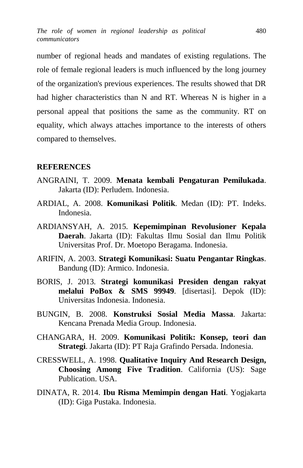number of regional heads and mandates of existing regulations. The role of female regional leaders is much influenced by the long journey of the organization's previous experiences. The results showed that DR had higher characteristics than N and RT. Whereas N is higher in a personal appeal that positions the same as the community. RT on equality, which always attaches importance to the interests of others compared to themselves.

#### **REFERENCES**

- ANGRAINI, T. 2009. **Menata kembali Pengaturan Pemilukada**. Jakarta (ID): Perludem. Indonesia.
- ARDIAL, A. 2008. **Komunikasi Politik**. Medan (ID): PT. Indeks. Indonesia.
- ARDIANSYAH, A. 2015. **Kepemimpinan Revolusioner Kepala Daerah**. Jakarta (ID): Fakultas Ilmu Sosial dan Ilmu Politik Universitas Prof. Dr. Moetopo Beragama. Indonesia.
- ARIFIN, A. 2003. **Strategi Komunikasi: Suatu Pengantar Ringkas**. Bandung (ID): Armico. Indonesia.
- BORIS, J. 2013. **Strategi komunikasi Presiden dengan rakyat melalui PoBox & SMS 99949**. [disertasi]. Depok (ID): Universitas Indonesia. Indonesia.
- BUNGIN, B. 2008. **Konstruksi Sosial Media Massa**. Jakarta: Kencana Prenada Media Group. Indonesia.
- CHANGARA, H. 2009. **Komunikasi Politik: Konsep, teori dan Strategi**. Jakarta (ID): PT Raja Grafindo Persada. Indonesia.
- CRESSWELL, A. 1998. **Qualitative Inquiry And Research Design, Choosing Among Five Tradition**. California (US): Sage Publication. USA.
- DINATA, R. 2014. **Ibu Risma Memimpin dengan Hati**. Yogjakarta (ID): Giga Pustaka. Indonesia.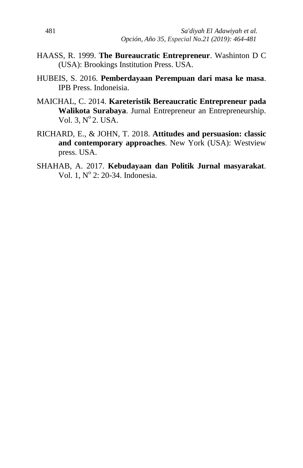- HAASS, R. 1999. **The Bureaucratic Entrepreneur**. Washinton D C (USA): Brookings Institution Press. USA.
- HUBEIS, S. 2016. **Pemberdayaan Perempuan dari masa ke masa**. IPB Press. Indoneisia.
- MAICHAL, C. 2014. **Kareteristik Bereaucratic Entrepreneur pada Walikota Surabaya**. Jurnal Entrepreneur an Entrepreneurship. Vol.  $3, N^{\circ}2$ . USA.
- RICHARD, E., & JOHN, T. 2018. **Attitudes and persuasion: classic and contemporary approaches**. New York (USA): Westview press. USA.
- SHAHAB, A. 2017. **Kebudayaan dan Politik Jurnal masyarakat**. Vol. 1, Nº 2: 20-34. Indonesia.